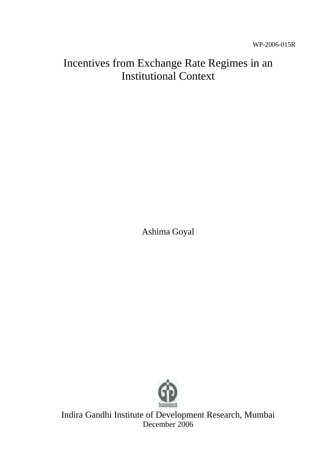# Incentives from Exchange Rate Regimes in an Institutional Context

Ashima Goyal



Indira Gandhi Institute of Development Research, Mumbai December 2006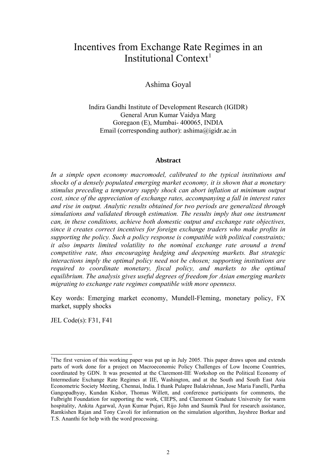# Incentives from Exchange Rate Regimes in an Institutional Context<sup>[1](#page-1-0)</sup>

# Ashima Goyal

Indira Gandhi Institute of Development Research (IGIDR) General Arun Kumar Vaidya Marg Goregaon (E), Mumbai- 400065, INDIA Email (corresponding author): ashima@igidr.ac.in

#### **Abstract**

*In a simple open economy macromodel, calibrated to the typical institutions and shocks of a densely populated emerging market economy, it is shown that a monetary stimulus preceding a temporary supply shock can abort inflation at minimum output cost, since of the appreciation of exchange rates, accompanying a fall in interest rates and rise in output. Analytic results obtained for two periods are generalized through simulations and validated through estimation. The results imply that one instrument can, in these conditions, achieve both domestic output and exchange rate objectives, since it creates correct incentives for foreign exchange traders who make profits in supporting the policy. Such a policy response is compatible with political constraints; it also imparts limited volatility to the nominal exchange rate around a trend competitive rate, thus encouraging hedging and deepening markets. But strategic interactions imply the optimal policy need not be chosen; supporting institutions are required to coordinate monetary, fiscal policy, and markets to the optimal equilibrium. The analysis gives useful degrees of freedom for Asian emerging markets migrating to exchange rate regimes compatible with more openness.*

Key words: Emerging market economy, Mundell-Fleming, monetary policy, FX market, supply shocks

JEL Code(s): F31, F41

 $\overline{a}$ 

<span id="page-1-0"></span><sup>&</sup>lt;sup>1</sup>The first version of this working paper was put up in July 2005. This paper draws upon and extends parts of work done for a project on Macroeconomic Policy Challenges of Low Income Countries, coordinated by GDN. It was presented at the Claremont-IIE Workshop on the Political Economy of Intermediate Exchange Rate Regimes at IIE, Washington, and at the South and South East Asia Econometric Society Meeting, Chennai, India. I thank Pulapre Balakrishnan, Jose Maria Fanelli, Partha Gangopadhyay, Kundan Kishor, Thomas Willett, and conference participants for comments, the Fulbright Foundation for supporting the work, CIEPS, and Claremont Graduate University for warm hospitality, Ankita Agarwal, Ayan Kumar Pujari, Rijo John and Saumik Paul for research assistance, Ramkishen Rajan and Tony Cavoli for information on the simulation algorithm, Jayshree Borkar and T.S. Ananthi for help with the word processing.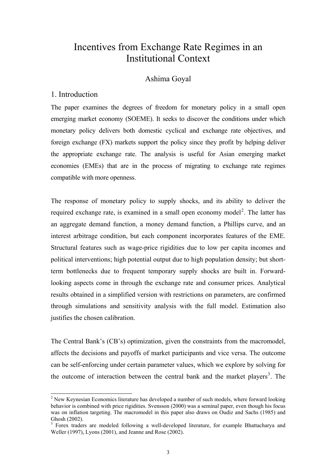# Incentives from Exchange Rate Regimes in an Institutional Context

# Ashima Goyal

#### 1. Introduction

 $\overline{\phantom{a}}$ 

The paper examines the degrees of freedom for monetary policy in a small open emerging market economy (SOEME). It seeks to discover the conditions under which monetary policy delivers both domestic cyclical and exchange rate objectives, and foreign exchange (FX) markets support the policy since they profit by helping deliver the appropriate exchange rate. The analysis is useful for Asian emerging market economies (EMEs) that are in the process of migrating to exchange rate regimes compatible with more openness.

The response of monetary policy to supply shocks, and its ability to deliver the required exchange rate, is examined in a small open economy model<sup>[2](#page-2-0)</sup>. The latter has an aggregate demand function, a money demand function, a Phillips curve, and an interest arbitrage condition, but each component incorporates features of the EME. Structural features such as wage-price rigidities due to low per capita incomes and political interventions; high potential output due to high population density; but shortterm bottlenecks due to frequent temporary supply shocks are built in. Forwardlooking aspects come in through the exchange rate and consumer prices. Analytical results obtained in a simplified version with restrictions on parameters, are confirmed through simulations and sensitivity analysis with the full model. Estimation also justifies the chosen calibration.

The Central Bank's (CB's) optimization, given the constraints from the macromodel, affects the decisions and payoffs of market participants and vice versa. The outcome can be self-enforcing under certain parameter values, which we explore by solving for the outcome of interaction between the central bank and the market players<sup>[3](#page-2-1)</sup>. The

<span id="page-2-0"></span> $2$  New Keynesian Economics literature has developed a number of such models, where forward looking behavior is combined with price rigidities. Svensson (2000) was a seminal paper, even though his focus was on inflation targeting. The macromodel in this paper also draws on Oudiz and Sachs (1985) and Ghosh (2002).

<span id="page-2-1"></span><sup>&</sup>lt;sup>3</sup> Forex traders are modeled following a well-developed literature, for example Bhattacharya and Weller (1997), Lyons (2001), and Jeanne and Rose (2002).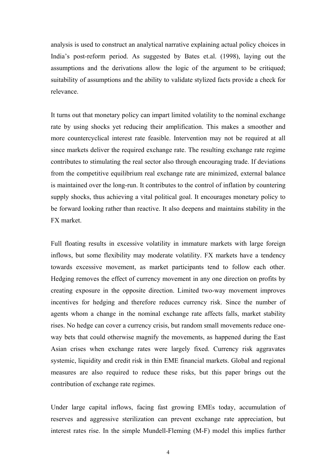analysis is used to construct an analytical narrative explaining actual policy choices in India's post-reform period. As suggested by Bates et.al. (1998), laying out the assumptions and the derivations allow the logic of the argument to be critiqued; suitability of assumptions and the ability to validate stylized facts provide a check for relevance.

It turns out that monetary policy can impart limited volatility to the nominal exchange rate by using shocks yet reducing their amplification. This makes a smoother and more countercyclical interest rate feasible. Intervention may not be required at all since markets deliver the required exchange rate. The resulting exchange rate regime contributes to stimulating the real sector also through encouraging trade. If deviations from the competitive equilibrium real exchange rate are minimized, external balance is maintained over the long-run. It contributes to the control of inflation by countering supply shocks, thus achieving a vital political goal. It encourages monetary policy to be forward looking rather than reactive. It also deepens and maintains stability in the FX market.

Full floating results in excessive volatility in immature markets with large foreign inflows, but some flexibility may moderate volatility. FX markets have a tendency towards excessive movement, as market participants tend to follow each other. Hedging removes the effect of currency movement in any one direction on profits by creating exposure in the opposite direction. Limited two-way movement improves incentives for hedging and therefore reduces currency risk. Since the number of agents whom a change in the nominal exchange rate affects falls, market stability rises. No hedge can cover a currency crisis, but random small movements reduce oneway bets that could otherwise magnify the movements, as happened during the East Asian crises when exchange rates were largely fixed. Currency risk aggravates systemic, liquidity and credit risk in thin EME financial markets. Global and regional measures are also required to reduce these risks, but this paper brings out the contribution of exchange rate regimes.

Under large capital inflows, facing fast growing EMEs today, accumulation of reserves and aggressive sterilization can prevent exchange rate appreciation, but interest rates rise. In the simple Mundell-Fleming (M-F) model this implies further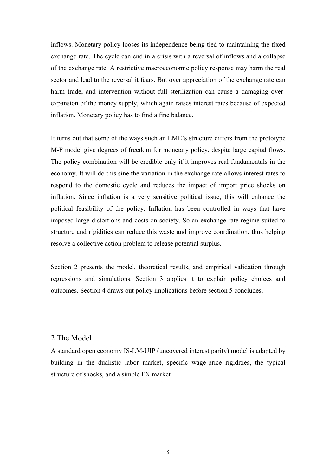inflows. Monetary policy looses its independence being tied to maintaining the fixed exchange rate. The cycle can end in a crisis with a reversal of inflows and a collapse of the exchange rate. A restrictive macroeconomic policy response may harm the real sector and lead to the reversal it fears. But over appreciation of the exchange rate can harm trade, and intervention without full sterilization can cause a damaging overexpansion of the money supply, which again raises interest rates because of expected inflation. Monetary policy has to find a fine balance.

It turns out that some of the ways such an EME's structure differs from the prototype M-F model give degrees of freedom for monetary policy, despite large capital flows. The policy combination will be credible only if it improves real fundamentals in the economy. It will do this sine the variation in the exchange rate allows interest rates to respond to the domestic cycle and reduces the impact of import price shocks on inflation. Since inflation is a very sensitive political issue, this will enhance the political feasibility of the policy. Inflation has been controlled in ways that have imposed large distortions and costs on society. So an exchange rate regime suited to structure and rigidities can reduce this waste and improve coordination, thus helping resolve a collective action problem to release potential surplus.

Section 2 presents the model, theoretical results, and empirical validation through regressions and simulations. Section 3 applies it to explain policy choices and outcomes. Section 4 draws out policy implications before section 5 concludes.

#### 2 The Model

A standard open economy IS-LM-UIP (uncovered interest parity) model is adapted by building in the dualistic labor market, specific wage-price rigidities, the typical structure of shocks, and a simple FX market.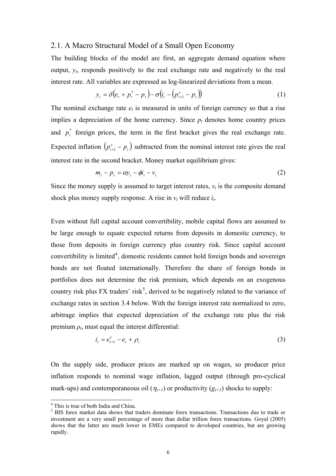#### 2.1. A Macro Structural Model of a Small Open Economy

The building blocks of the model are first, an aggregate demand equation where output, *yt*, responds positively to the real exchange rate and negatively to the real interest rate. All variables are expressed as log-linearized deviations from a mean.

$$
y_{t} = \delta(e_{t} + p_{t}^{*} - p_{t}) - \sigma(i_{t} - (p_{t+1}^{e} - p_{t}))
$$
\n(1)

The nominal exchange rate  $e_t$  is measured in units of foreign currency so that a rise implies a depreciation of the home currency. Since  $p_t$  denotes home country prices and  $p_t^*$  foreign prices, the term in the first bracket gives the real exchange rate. Expected inflation  $\left( p_{t+1}^e - p_t \right)$  subtracted from the nominal interest rate gives the real interest rate in the second bracket. Money market equilibrium gives:

$$
m_t - p_t = \alpha y_t - \phi t_t - v_t \tag{2}
$$

Since the money supply is assumed to target interest rates,  $v_t$  is the composite demand shock plus money supply response. A rise in  $v_t$  will reduce  $i_t$ .

Even without full capital account convertibility, mobile capital flows are assumed to be large enough to equate expected returns from deposits in domestic currency, to those from deposits in foreign currency plus country risk. Since capital account convertibility is limited<sup>[4](#page-5-0)</sup>, domestic residents cannot hold foreign bonds and sovereign bonds are not floated internationally. Therefore the share of foreign bonds in portfolios does not determine the risk premium, which depends on an exogenous country risk plus FX traders' risk<sup>[5](#page-5-1)</sup>, derived to be negatively related to the variance of exchange rates in section 3.4 below. With the foreign interest rate normalized to zero, arbitrage implies that expected depreciation of the exchange rate plus the risk premium  $\rho_t$ , must equal the interest differential:

$$
i_t = e_{t+1}^e - e_t + \rho_t \tag{3}
$$

On the supply side, producer prices are marked up on wages, so producer price inflation responds to nominal wage inflation, lagged output (through pro-cyclical mark-ups) and contemporaneous oil  $(\eta_{t+1})$  or productivity  $(g_{t+1})$  shocks to supply:

 4 This is true of both India and China.

<span id="page-5-1"></span><span id="page-5-0"></span><sup>&</sup>lt;sup>5</sup> BIS forex market data shows that traders dominate forex transactions. Transactions due to trade or investment are a very small percentage of more than dollar trillion forex transactions. Goyal (2005) shows that the latter are much lower in EMEs compared to developed countries, but are growing rapidly.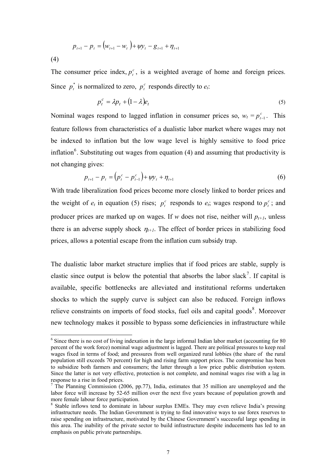$$
p_{t+1} - p_t = (w_{t+1} - w_t) + \psi y_t - g_{t+1} + \eta_{t+1}
$$

(4)

 $\overline{\phantom{a}}$ 

The consumer price index,  $p_t^c$ , is a weighted average of home and foreign prices. Since  $p_t^*$  is normalized to zero,  $p_t^c$  responds directly to  $e_t$ .

$$
p_t^c = \lambda p_t + (1 - \lambda)e_t \tag{5}
$$

Nominal wages respond to lagged inflation in consumer prices so,  $w_t = p_{t-1}^c$ . This feature follows from characteristics of a dualistic labor market where wages may not be indexed to inflation but the low wage level is highly sensitive to food price inflation<sup>[6](#page-6-0)</sup>. Substituting out wages from equation (4) and assuming that productivity is not changing gives:

$$
p_{t+1} - p_t = (p_t^c - p_{t-1}^c) + \psi y_t + \eta_{t+1}
$$
\n<sup>(6)</sup>

With trade liberalization food prices become more closely linked to border prices and the weight of  $e_t$  in equation (5) rises;  $p_t^c$  responds to  $e_t$ ; wages respond to  $p_t^c$ ; and producer prices are marked up on wages. If *w* does not rise, neither will  $p_{t+1}$ , unless there is an adverse supply shock  $\eta_{t+1}$ . The effect of border prices in stabilizing food prices, allows a potential escape from the inflation cum subsidy trap.

The dualistic labor market structure implies that if food prices are stable, supply is elastic since output is below the potential that absorbs the labor slack<sup>[7](#page-6-1)</sup>. If capital is available, specific bottlenecks are alleviated and institutional reforms undertaken shocks to which the supply curve is subject can also be reduced. Foreign inflows relieve constraints on imports of food stocks, fuel oils and capital goods $\delta$ . Moreover new technology makes it possible to bypass some deficiencies in infrastructure while

<span id="page-6-0"></span><sup>&</sup>lt;sup>6</sup> Since there is no cost of living indexation in the large informal Indian labor market (accounting for 80 percent of the work force) nominal wage adjustment is lagged. There are political pressures to keep real wages fixed in terms of food; and pressures from well organized rural lobbies (the share of the rural population still exceeds 70 percent) for high and rising farm support prices. The compromise has been to subsidize both farmers and consumers; the latter through a low price public distribution system. Since the latter is not very effective, protection is not complete, and nominal wages rise with a lag in response to a rise in food prices.

<span id="page-6-1"></span> $<sup>7</sup>$  The Planning Commission (2006, pp.77), India, estimates that 35 million are unemployed and the</sup> labor force will increase by 52-65 million over the next five years because of population growth and more female labour force participation.

<span id="page-6-2"></span><sup>&</sup>lt;sup>8</sup> Stable inflows tend to dominate in labour surplus EMEs. They may even relieve India's pressing infrastructure needs. The Indian Government is trying to find innovative ways to use forex reserves to raise spending on infrastructure, motivated by the Chinese Government's successful large spending in this area. The inability of the private sector to build infrastructure despite inducements has led to an emphasis on public private partnerships.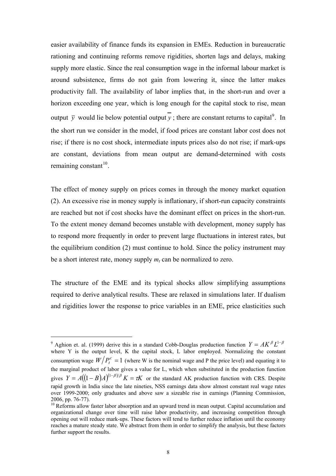easier availability of finance funds its expansion in EMEs. Reduction in bureaucratic rationing and continuing reforms remove rigidities, shorten lags and delays, making supply more elastic. Since the real consumption wage in the informal labour market is around subsistence, firms do not gain from lowering it, since the latter makes productivity fall. The availability of labor implies that, in the short-run and over a horizon exceeding one year, which is long enough for the capital stock to rise, mean output  $\bar{y}$  would lie below potential output  $\bar{y}$ ; there are constant returns to capital<sup>[9](#page-7-0)</sup>. In the short run we consider in the model, if food prices are constant labor cost does not rise; if there is no cost shock, intermediate inputs prices also do not rise; if mark-ups are constant, deviations from mean output are demand-determined with costs remaining constant $10$ .

The effect of money supply on prices comes in through the money market equation (2). An excessive rise in money supply is inflationary, if short-run capacity constraints are reached but not if cost shocks have the dominant effect on prices in the short-run. To the extent money demand becomes unstable with development, money supply has to respond more frequently in order to prevent large fluctuations in interest rates, but the equilibrium condition (2) must continue to hold. Since the policy instrument may be a short interest rate, money supply  $m_t$  can be normalized to zero.

The structure of the EME and its typical shocks allow simplifying assumptions required to derive analytical results. These are relaxed in simulations later. If dualism and rigidities lower the response to price variables in an EME, price elasticities such

 $\overline{a}$ 

<span id="page-7-0"></span><sup>&</sup>lt;sup>9</sup> Aghion et. al. (1999) derive this in a standard Cobb-Douglas production function  $Y = AK^{\beta}L^{1-\beta}$ where Y is the output level, K the capital stock, L labor employed. Normalizing the constant consumption wage  $W/P_t^c = 1$  (where W is the nominal wage and P the price level) and equating it to the marginal product of labor gives a value for L, which when substituted in the production function gives  $Y = A((1 - B)A)^{(1 - \beta)/\beta} K = \tau K$  or the standard AK production function with CRS. Despite rapid growth in India since the late nineties, NSS earnings data show almost constant real wage rates over 1999-2000; only graduates and above saw a sizeable rise in earnings (Planning Commission, 2006, pp. 76-77).

<span id="page-7-1"></span><sup>&</sup>lt;sup>10</sup> Reforms allow faster labor absorption and an upward trend in mean output. Capital accumulation and organizational change over time will raise labor productivity, and increasing competition through opening out will reduce mark-ups. These factors will tend to further reduce inflation until the economy reaches a mature steady state. We abstract from them in order to simplify the analysis, but these factors further support the results.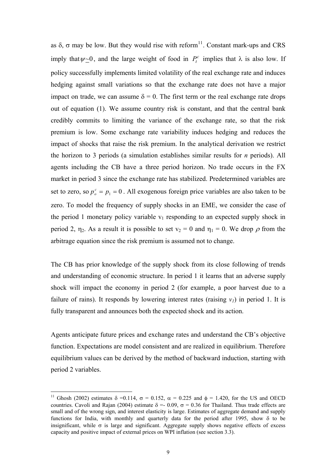as  $\delta$ ,  $\sigma$  may be low. But they would rise with reform<sup>[11](#page-8-0)</sup>. Constant mark-ups and CRS imply that  $\psi \sim 0$ , and the large weight of food in  $P_t^c$  implies that  $\lambda$  is also low. If policy successfully implements limited volatility of the real exchange rate and induces hedging against small variations so that the exchange rate does not have a major impact on trade, we can assume  $\delta = 0$ . The first term or the real exchange rate drops out of equation (1). We assume country risk is constant, and that the central bank credibly commits to limiting the variance of the exchange rate, so that the risk premium is low. Some exchange rate variability induces hedging and reduces the impact of shocks that raise the risk premium. In the analytical derivation we restrict the horizon to 3 periods (a simulation establishes similar results for *n* periods). All agents including the CB have a three period horizon. No trade occurs in the FX market in period 3 since the exchange rate has stabilized. Predetermined variables are set to zero, so  $p_o^c = p_1 = 0$ . All exogenous foreign price variables are also taken to be zero. To model the frequency of supply shocks in an EME, we consider the case of the period 1 monetary policy variable  $v_1$  responding to an expected supply shock in period 2,  $\eta_2$ . As a result it is possible to set  $v_2 = 0$  and  $\eta_1 = 0$ . We drop  $\rho$  from the arbitrage equation since the risk premium is assumed not to change.

The CB has prior knowledge of the supply shock from its close following of trends and understanding of economic structure. In period 1 it learns that an adverse supply shock will impact the economy in period 2 (for example, a poor harvest due to a failure of rains). It responds by lowering interest rates (raising  $v_1$ ) in period 1. It is fully transparent and announces both the expected shock and its action.

Agents anticipate future prices and exchange rates and understand the CB's objective function. Expectations are model consistent and are realized in equilibrium. Therefore equilibrium values can be derived by the method of backward induction, starting with period 2 variables.

 $\overline{\phantom{a}}$ 

<span id="page-8-0"></span><sup>&</sup>lt;sup>11</sup> Ghosh (2002) estimates  $\delta$  =0.114,  $\sigma$  = 0.152,  $\alpha$  = 0.225 and  $\phi$  = 1.420, for the US and OECD countries. Cavoli and Rajan (2004) estimate  $\delta = 0.09$ ,  $\sigma = 0.36$  for Thailand. Thus trade effects are small and of the wrong sign, and interest elasticity is large. Estimates of aggregate demand and supply functions for India, with monthly and quarterly data for the period after 1995, show δ to be insignificant, while  $\sigma$  is large and significant. Aggregate supply shows negative effects of excess capacity and positive impact of external prices on WPI inflation (see section 3.3).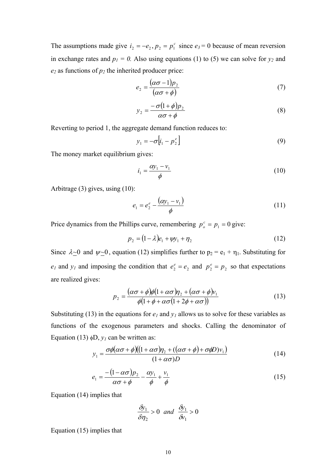The assumptions made give  $i_2 = -e_2$ ,  $p_2 = p_1^c$  since  $e_3 = 0$  because of mean reversion in exchange rates and  $p_1 = 0$ . Also using equations (1) to (5) we can solve for  $y_2$  and  $e_2$  as functions of  $p_2$  the inherited producer price:

$$
e_2 = \frac{(\alpha \sigma - 1)p_2}{(\alpha \sigma + \phi)}
$$
(7)

$$
y_2 = \frac{-\sigma (1+\phi)p_2}{\alpha \sigma + \phi} \tag{8}
$$

Reverting to period 1, the aggregate demand function reduces to:

$$
y_1 = -\sigma \left[ i_1 - p_2^e \right] \tag{9}
$$

The money market equilibrium gives:

$$
i_1 = \frac{\alpha y_1 - v_1}{\phi} \tag{10}
$$

Arbitrage (3) gives, using (10):

$$
e_1 = e_2^e - \frac{(\alpha y_1 - v_1)}{\phi}
$$
 (11)

Price dynamics from the Phillips curve, remembering  $p_o^c = p_1 = 0$  give:

$$
p_2 = (1 - \lambda)e_1 + \psi y_1 + \eta_2 \tag{12}
$$

Since  $\lambda \ge 0$  and  $\psi \ge 0$ , equation (12) simplifies further to  $p_2 = e_1 + \eta_1$ . Substituting for  $e_1$  and  $y_1$  and imposing the condition that  $e_2^e = e_2$  and  $p_2^e = p_2$  so that expectations are realized gives:

$$
p_2 = \frac{(\alpha \sigma + \phi)\phi(1 + \alpha \sigma) \eta_2 + (\alpha \sigma + \phi)v_1}{\phi(1 + \phi + \alpha \sigma(1 + 2\phi + \alpha \sigma))}
$$
(13)

Substituting (13) in the equations for  $e_1$  and  $y_1$  allows us to solve for these variables as functions of the exogenous parameters and shocks. Calling the denominator of Equation (13)  $\phi D$ ,  $y_l$  can be written as:

$$
y_1 = \frac{\sigma \phi(\alpha \sigma + \phi)((1 + \alpha \sigma)\eta_2 + ((\alpha \sigma + \phi) + \sigma \phi D)v_1)}{(1 + \alpha \sigma)D}
$$
(14)

$$
e_1 = \frac{-\left(1 - \alpha \sigma\right) p_2}{\alpha \sigma + \phi} - \frac{\alpha y_1}{\phi} + \frac{v_1}{\phi} \tag{15}
$$

Equation (14) implies that

$$
\frac{\delta y_1}{\delta \eta_2} > 0 \quad \text{and} \quad \frac{\delta y_1}{\delta v_1} > 0
$$

Equation (15) implies that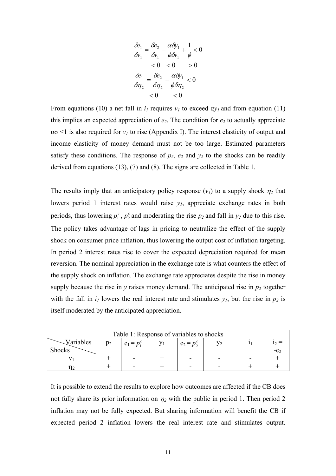$$
\frac{\delta e_1}{\delta v_1} = \frac{\delta e_2}{\delta v_1} - \frac{\alpha \delta y_1}{\phi \delta v_1} + \frac{1}{\phi} < 0
$$
  
< 0 < 0 < 0 > 0  

$$
\frac{\delta e_1}{\delta \eta_2} = \frac{\delta e_2}{\delta \eta_2} - \frac{\alpha \delta y_1}{\phi \delta \eta_2} < 0
$$
  
< 0 < 0

From equations (10) a net fall in  $i_l$  requires  $v_l$  to exceed  $a y_l$  and from equation (11) this implies an expected appreciation of  $e_2$ . The condition for  $e_2$  to actually appreciate  $\alpha$ <sup> $\sigma$ </sup> <1 is also required for  $v<sub>I</sub>$  to rise (Appendix I). The interest elasticity of output and income elasticity of money demand must not be too large. Estimated parameters satisfy these conditions. The response of  $p_2$ ,  $e_2$  and  $y_2$  to the shocks can be readily derived from equations (13), (7) and (8). The signs are collected in Table 1.

The results imply that an anticipatory policy response  $(v_1)$  to a supply shock  $\eta_2$  that lowers period 1 interest rates would raise  $y_1$ , appreciate exchange rates in both periods, thus lowering  $p_1^c$ ,  $p_2^c$  and moderating the rise  $p_2$  and fall in  $y_2$  due to this rise. The policy takes advantage of lags in pricing to neutralize the effect of the supply shock on consumer price inflation, thus lowering the output cost of inflation targeting. In period 2 interest rates rise to cover the expected depreciation required for mean reversion. The nominal appreciation in the exchange rate is what counters the effect of the supply shock on inflation. The exchange rate appreciates despite the rise in money supply because the rise in  $y$  raises money demand. The anticipated rise in  $p_2$  together with the fall in  $i_l$  lowers the real interest rate and stimulates  $y_l$ , but the rise in  $p_2$  is itself moderated by the anticipated appreciation.

| Table 1: Response of variables to shocks |       |               |  |               |  |  |
|------------------------------------------|-------|---------------|--|---------------|--|--|
| Variables                                | $p_2$ | $e_1 = p_1^c$ |  | $e_2 = p_2^c$ |  |  |
| <b>Shocks</b>                            |       |               |  |               |  |  |
|                                          |       |               |  | -             |  |  |
|                                          |       |               |  | -             |  |  |

It is possible to extend the results to explore how outcomes are affected if the CB does not fully share its prior information on  $\eta_2$  with the public in period 1. Then period 2 inflation may not be fully expected. But sharing information will benefit the CB if expected period 2 inflation lowers the real interest rate and stimulates output.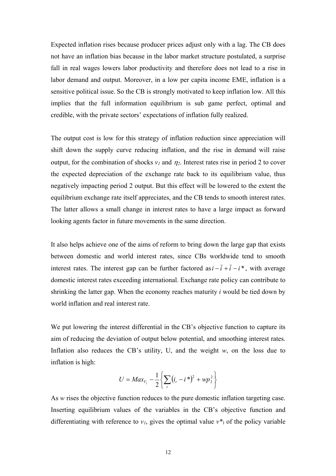Expected inflation rises because producer prices adjust only with a lag. The CB does not have an inflation bias because in the labor market structure postulated, a surprise fall in real wages lowers labor productivity and therefore does not lead to a rise in labor demand and output. Moreover, in a low per capita income EME, inflation is a sensitive political issue. So the CB is strongly motivated to keep inflation low. All this implies that the full information equilibrium is sub game perfect, optimal and credible, with the private sectors' expectations of inflation fully realized.

The output cost is low for this strategy of inflation reduction since appreciation will shift down the supply curve reducing inflation, and the rise in demand will raise output, for the combination of shocks  $v_1$  and  $\eta_2$ . Interest rates rise in period 2 to cover the expected depreciation of the exchange rate back to its equilibrium value, thus negatively impacting period 2 output. But this effect will be lowered to the extent the equilibrium exchange rate itself appreciates, and the CB tends to smooth interest rates. The latter allows a small change in interest rates to have a large impact as forward looking agents factor in future movements in the same direction.

It also helps achieve one of the aims of reform to bring down the large gap that exists between domestic and world interest rates, since CBs worldwide tend to smooth interest rates. The interest gap can be further factored as  $i - \overline{i} + \overline{i} - i^*$ , with average domestic interest rates exceeding international. Exchange rate policy can contribute to shrinking the latter gap. When the economy reaches maturity *i* would be tied down by world inflation and real interest rate.

We put lowering the interest differential in the CB's objective function to capture its aim of reducing the deviation of output below potential, and smoothing interest rates. Inflation also reduces the CB's utility, U, and the weight  $w$ , on the loss due to inflation is high:

$$
U = Max_{V_1} - \frac{1}{2} \left\{ \sum_{t} (i_t - i^*)^2 + wp_2^2 \right\}
$$

As *w* rises the objective function reduces to the pure domestic inflation targeting case. Inserting equilibrium values of the variables in the CB's objective function and differentiating with reference to  $v_1$ , gives the optimal value  $v^*$  of the policy variable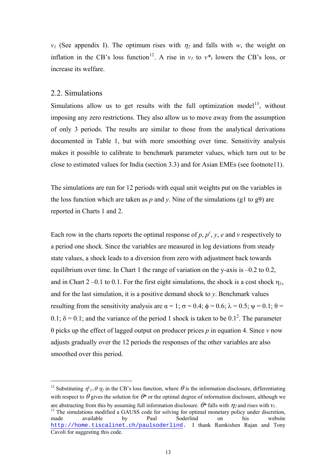$v_1$  (See appendix I). The optimum rises with  $\eta_2$  and falls with *w*, the weight on inflation in the CB's loss function<sup>[12](#page-12-0)</sup>. A rise in  $v_l$  to  $v^*$  lowers the CB's loss, or increase its welfare.

#### 2.2. Simulations

 $\overline{\phantom{a}}$ 

Simulations allow us to get results with the full optimization model<sup>[13](#page-12-1)</sup>, without imposing any zero restrictions. They also allow us to move away from the assumption of only 3 periods. The results are similar to those from the analytical derivations documented in Table 1, but with more smoothing over time. Sensitivity analysis makes it possible to calibrate to benchmark parameter values, which turn out to be close to estimated values for India (section 3.3) and for Asian EMEs (see footnote11).

The simulations are run for 12 periods with equal unit weights put on the variables in the loss function which are taken as  $p$  and  $y$ . Nine of the simulations (g1 to g9) are reported in Charts 1 and 2.

Each row in the charts reports the optimal response of  $p$ ,  $p^c$ ,  $y$ ,  $e$  and  $v$  respectively to a period one shock. Since the variables are measured in log deviations from steady state values, a shock leads to a diversion from zero with adjustment back towards equilibrium over time. In Chart 1 the range of variation on the y-axis is –0.2 to 0.2, and in Chart  $2 -0.1$  to 0.1. For the first eight simulations, the shock is a cost shock  $\eta_1$ , and for the last simulation, it is a positive demand shock to *y*. Benchmark values resulting from the sensitivity analysis are  $\alpha = 1$ ;  $\sigma = 0.4$ ;  $\phi = 0.6$ ;  $\lambda = 0.5$ ;  $\psi = 0.1$ ;  $\theta =$ 0.1;  $\delta = 0.1$ ; and the variance of the period 1 shock is taken to be 0.1<sup>2</sup>. The parameter θ picks up the effect of lagged output on producer prices *p* in equation 4. Since *v* now adjusts gradually over the 12 periods the responses of the other variables are also smoothed over this period.

<span id="page-12-0"></span><sup>&</sup>lt;sup>12</sup> Substituting  $\eta^e_{2} = \theta \eta_2$  in the CB's loss function, where  $\theta$  is the information disclosure, differentiating with respect to  $\theta$  gives the solution for  $\theta^*$  or the optimal degree of information disclosure, although we

<span id="page-12-1"></span>are abstracting from this by assuming full information disclosure.  $\theta^*$  falls with  $\eta_2$  and rises with  $v_1$ .<br><sup>13</sup> The simulations modified a GAUSS code for solving for optimal monetary policy under discretion. made available by Paul Soderlind on his website [http://home.tiscalinet.ch/paulsoderlind](https://outlook.cgu.edu/exchweb/bin/redir.asp?URL=http://home.tiscalinet.ch/paulsoderlind). I thank Ramkishen Rajan and Tony Cavoli for suggesting this code.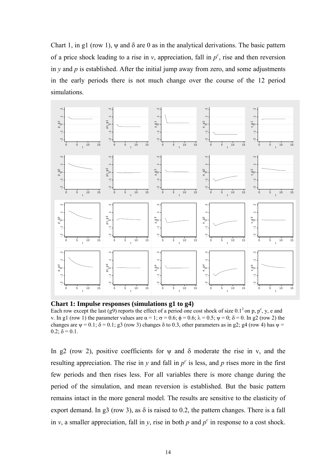Chart 1, in g1 (row 1),  $\psi$  and  $\delta$  are 0 as in the analytical derivations. The basic pattern of a price shock leading to a rise in  $v$ , appreciation, fall in  $p^c$ , rise and then reversion in  $y$  and  $p$  is established. After the initial jump away from zero, and some adjustments in the early periods there is not much change over the course of the 12 period simulations.



**Chart 1: Impulse responses (simulations g1 to g4)** 

Each row except the last (g9) reports the effect of a period one cost shock of size  $0.1^2$  on p, p<sup>c</sup>, y, e and v. In g1 (row 1) the parameter values are  $\alpha = 1$ ;  $\sigma = 0.6$ ;  $\phi = 0.6$ ;  $\lambda = 0.5$ ;  $\psi = 0$ ; δ = 0. In g2 (row 2) the changes are  $\psi = 0.1$ ;  $\delta = 0.1$ ; g3 (row 3) changes  $\delta$  to 0.3, other parameters as in g2; g4 (row 4) has  $\psi =$  $0.2$ ;  $\delta = 0.1$ .

In g2 (row 2), positive coefficients for  $\psi$  and  $\delta$  moderate the rise in v, and the resulting appreciation. The rise in  $y$  and fall in  $p^c$  is less, and  $p$  rises more in the first few periods and then rises less. For all variables there is more change during the period of the simulation, and mean reversion is established. But the basic pattern remains intact in the more general model. The results are sensitive to the elasticity of export demand. In g3 (row 3), as  $\delta$  is raised to 0.2, the pattern changes. There is a fall in *v*, a smaller appreciation, fall in *y*, rise in both *p* and  $p^c$  in response to a cost shock.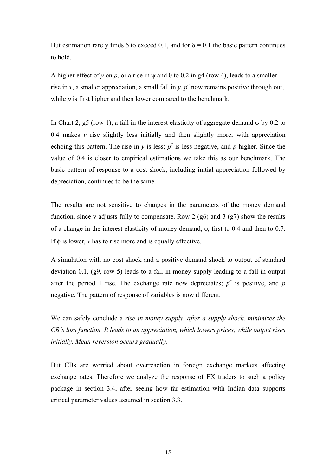But estimation rarely finds  $\delta$  to exceed 0.1, and for  $\delta = 0.1$  the basic pattern continues to hold.

A higher effect of *y* on *p*, or a rise in  $\psi$  and  $\theta$  to 0.2 in g4 (row 4), leads to a smaller rise in  $v$ , a smaller appreciation, a small fall in  $y$ ,  $p<sup>c</sup>$  now remains positive through out, while *p* is first higher and then lower compared to the benchmark.

In Chart 2, g5 (row 1), a fall in the interest elasticity of aggregate demand  $\sigma$  by 0.2 to 0.4 makes  $\nu$  rise slightly less initially and then slightly more, with appreciation echoing this pattern. The rise in *y* is less;  $p^c$  is less negative, and *p* higher. Since the value of 0.4 is closer to empirical estimations we take this as our benchmark. The basic pattern of response to a cost shock, including initial appreciation followed by depreciation, continues to be the same.

The results are not sensitive to changes in the parameters of the money demand function, since v adjusts fully to compensate. Row 2 (g6) and 3 (g7) show the results of a change in the interest elasticity of money demand, φ, first to 0.4 and then to 0.7. If φ is lower, *v* has to rise more and is equally effective.

A simulation with no cost shock and a positive demand shock to output of standard deviation 0.1, (g9, row 5) leads to a fall in money supply leading to a fall in output after the period 1 rise. The exchange rate now depreciates;  $p^c$  is positive, and  $p$ negative. The pattern of response of variables is now different.

We can safely conclude a *rise in money supply, after a supply shock, minimizes the CB's loss function. It leads to an appreciation, which lowers prices, while output rises initially. Mean reversion occurs gradually.*

But CBs are worried about overreaction in foreign exchange markets affecting exchange rates. Therefore we analyze the response of FX traders to such a policy package in section 3.4, after seeing how far estimation with Indian data supports critical parameter values assumed in section 3.3.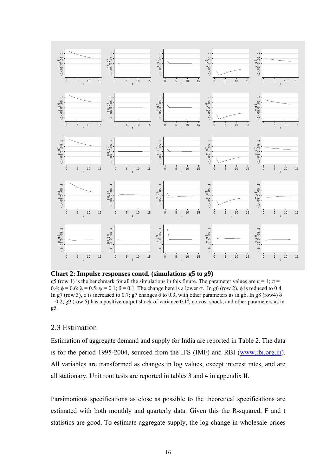

**Chart 2: Impulse responses contd. (simulations g5 to g9)**

g5 (row 1) is the benchmark for all the simulations in this figure. The parameter values are  $\alpha = 1$ ;  $\sigma =$ 0.4;  $\phi = 0.6$ ;  $\lambda = 0.5$ ;  $\psi = 0.1$ ; δ = 0.1. The change here is a lower σ. In g6 (row 2), φ is reduced to 0.4. In g7 (row 3),  $\phi$  is increased to 0.7; g7 changes  $\delta$  to 0.3, with other parameters as in g6. In g8 (row4)  $\delta$  $= 0.2$ ; g9 (row 5) has a positive output shock of variance  $0.1<sup>2</sup>$ , no cost shock, and other parameters as in g5.

# 2.3 Estimation

Estimation of aggregate demand and supply for India are reported in Table 2. The data is for the period 1995-2004, sourced from the IFS (IMF) and RBI ([www.rbi.org.in](http://www.rbi.orb.in/)). All variables are transformed as changes in log values, except interest rates, and are all stationary. Unit root tests are reported in tables 3 and 4 in appendix II.

Parsimonious specifications as close as possible to the theoretical specifications are estimated with both monthly and quarterly data. Given this the R-squared, F and t statistics are good. To estimate aggregate supply, the log change in wholesale prices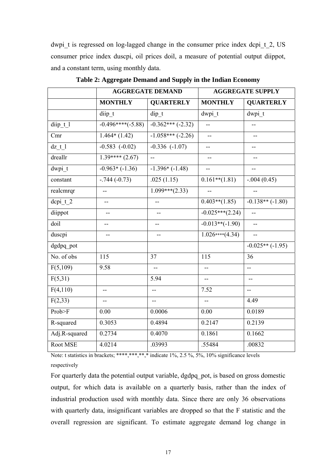dwpi t is regressed on log-lagged change in the consumer price index dcpi  $t$  2, US consumer price index duscpi, oil prices doil, a measure of potential output diippot, and a constant term, using monthly data.

|               |                          | <b>AGGREGATE DEMAND</b>     | <b>AGGREGATE SUPPLY</b>  |                          |  |
|---------------|--------------------------|-----------------------------|--------------------------|--------------------------|--|
|               | <b>MONTHLY</b>           | <b>QUARTERLY</b>            | <b>MONTHLY</b>           | <b>QUARTERLY</b>         |  |
|               | diip t                   | dip t                       | dwpi t                   | dwpi t                   |  |
| diip t 1      | $-0.496***(-5.88)$       | $-0.362***(-2.32)$          | $\overline{\phantom{a}}$ | --                       |  |
| Cmr           | $1.464*(1.42)$           | $-1.058***(-2.26)$          | u.                       | --                       |  |
| $dz$ t $l$    | $-0.583$ $(-0.02)$       | $-0.336$ $(-1.07)$          | $-$                      | $-$                      |  |
| dreallr       | $1.39***(2.67)$          | ω.                          | --                       |                          |  |
| dwpi t        | $-0.963*(-1.36)$         | $-1.396*(-1.48)$            |                          | --                       |  |
| constant      | $-0.744(-0.73)$          | .025(1.15)                  | $0.161**$ (1.81)         | $-.004(0.45)$            |  |
| realcmrqr     | $-$                      | $\overline{1.099***$ (2.33) | $-$                      | $\overline{\phantom{a}}$ |  |
| dcpi t 2      | $\overline{\phantom{a}}$ | $\overline{a}$              | $0.403**$ (1.85)         | $-0.138**(-1.80)$        |  |
| diippot       | --                       | $\overline{\phantom{a}}$    | $-0.025***(2.24)$        | $-$                      |  |
| doil          | $-$                      | $-$                         | $-0.013**(-1.90)$        | $\mathbf{L}$             |  |
| duscpi        | $-$                      | ÷-                          | $1.026***(4.34)$         | $\overline{a}$           |  |
| dgdpq pot     |                          |                             |                          | $-0.025**(-1.95)$        |  |
| No. of obs    | 115                      | 37                          | 115                      | 36                       |  |
| F(5,109)      | 9.58                     | $-$                         | --                       | --                       |  |
| F(5,31)       |                          | 5.94                        | $-$                      | $-$                      |  |
| F(4,110)      | --                       | --                          | 7.52                     | --                       |  |
| F(2,33)       | --                       | $-$                         | $-$                      | 4.49                     |  |
| Prob>F        | 0.00                     | 0.0006                      | 0.00                     | 0.0189                   |  |
| R-squared     | 0.3053                   | 0.4894                      | 0.2147                   | 0.2139                   |  |
| Adj.R-squared | 0.2734                   | 0.4070                      | 0.1861                   | 0.1662                   |  |
| Root MSE      | 4.0214                   | .03993                      | .55484                   | .00832                   |  |

**Table 2: Aggregate Demand and Supply in the Indian Economy** 

Note: t statistics in brackets; \*\*\*\*,\*\*,\*,\* indicate 1%, 2.5 %, 5%, 10% significance levels respectively

For quarterly data the potential output variable, dgdpq\_pot, is based on gross domestic output, for which data is available on a quarterly basis, rather than the index of industrial production used with monthly data. Since there are only 36 observations with quarterly data, insignificant variables are dropped so that the F statistic and the overall regression are significant. To estimate aggregate demand log change in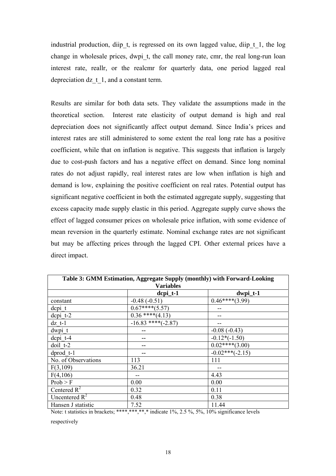industrial production, diip t, is regressed on its own lagged value, diip t 1, the log change in wholesale prices, dwpi\_t, the call money rate, cmr, the real long-run loan interest rate, reallr, or the realcmr for quarterly data, one period lagged real depreciation dz t 1, and a constant term.

Results are similar for both data sets. They validate the assumptions made in the theoretical section. Interest rate elasticity of output demand is high and real depreciation does not significantly affect output demand. Since India's prices and interest rates are still administered to some extent the real long rate has a positive coefficient, while that on inflation is negative. This suggests that inflation is largely due to cost-push factors and has a negative effect on demand. Since long nominal rates do not adjust rapidly, real interest rates are low when inflation is high and demand is low, explaining the positive coefficient on real rates. Potential output has significant negative coefficient in both the estimated aggregate supply, suggesting that excess capacity made supply elastic in this period. Aggregate supply curve shows the effect of lagged consumer prices on wholesale price inflation, with some evidence of mean reversion in the quarterly estimate. Nominal exchange rates are not significant but may be affecting prices through the lagged CPI. Other external prices have a direct impact.

| Table 3: GMM Estimation, Aggregate Supply (monthly) with Forward-Looking |                      |                       |  |  |
|--------------------------------------------------------------------------|----------------------|-----------------------|--|--|
| <b>Variables</b>                                                         |                      |                       |  |  |
|                                                                          | $depi_t-1$           | $dwpi_t-1$            |  |  |
| constant                                                                 | $-0.48(-0.51)$       | $0.46****(3.99)$      |  |  |
| depi t                                                                   | $0.67***(5.57)$      |                       |  |  |
| $d$ cpi $t-2$                                                            | $0.36$ **** $(4.13)$ |                       |  |  |
| $dz$ t-1                                                                 | $-16.83$ ****(-2.87) | --                    |  |  |
| dwpi t                                                                   |                      | $-0.08(-0.43)$        |  |  |
| $d$ cpi $t-4$                                                            |                      | $-0.12*(-1.50)$       |  |  |
| doil t-2                                                                 |                      | $0.02****(3.00)$      |  |  |
| $dprod$ t-1                                                              |                      | $-0.02$ *** $(-2.15)$ |  |  |
| No. of Observations                                                      | 113                  | 111                   |  |  |
| F(3,109)                                                                 | 36.21                |                       |  |  |
| F(4,106)                                                                 |                      | 4.43                  |  |  |
| Prob > F                                                                 | 0.00                 | 0.00                  |  |  |
| Centered $R^2$                                                           | 0.32                 | 0.11                  |  |  |
| Uncentered $R^2$                                                         | 0.48                 | 0.38                  |  |  |
| Hansen J statistic                                                       | 7.52                 | 11.44                 |  |  |

Note: t statistics in brackets; \*\*\*\*, \*\*\*, \*\*, \*\* indicate  $1\%$ ,  $2.5\%$ ,  $5\%$ ,  $10\%$  significance levels

respectively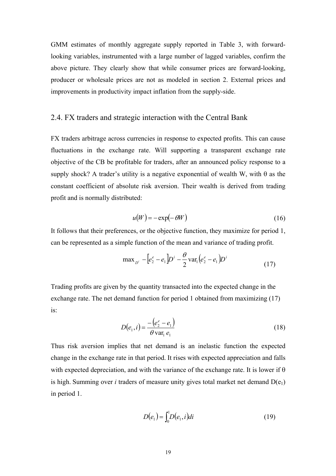GMM estimates of monthly aggregate supply reported in Table 3, with forwardlooking variables, instrumented with a large number of lagged variables, confirm the above picture. They clearly show that while consumer prices are forward-looking, producer or wholesale prices are not as modeled in section 2. External prices and improvements in productivity impact inflation from the supply-side.

#### 2.4. FX traders and strategic interaction with the Central Bank

FX traders arbitrage across currencies in response to expected profits. This can cause fluctuations in the exchange rate. Will supporting a transparent exchange rate objective of the CB be profitable for traders, after an announced policy response to a supply shock? A trader's utility is a negative exponential of wealth W, with  $\theta$  as the constant coefficient of absolute risk aversion. Their wealth is derived from trading profit and is normally distributed:

$$
u(W) = -\exp(-\theta W) \tag{16}
$$

It follows that their preferences, or the objective function, they maximize for period 1, can be represented as a simple function of the mean and variance of trading profit.

$$
\max_{D^i} - \left[ e_2^e - e_1 \right] D^i - \frac{\theta}{2} \operatorname{var}_1 \left( e_2^e - e_1 \right) D^i \tag{17}
$$

Trading profits are given by the quantity transacted into the expected change in the exchange rate. The net demand function for period 1 obtained from maximizing (17) is:

$$
D(e_1, i) = \frac{-\left(e_2^e - e_1\right)}{\theta \text{ var}_1 \ e_1} \tag{18}
$$

Thus risk aversion implies that net demand is an inelastic function the expected change in the exchange rate in that period. It rises with expected appreciation and falls with expected depreciation, and with the variance of the exchange rate. It is lower if  $\theta$ is high. Summing over *i* traders of measure unity gives total market net demand  $D(e_1)$ in period 1.

$$
D(e_1) = \int_0^1 D(e_1, i)di
$$
 (19)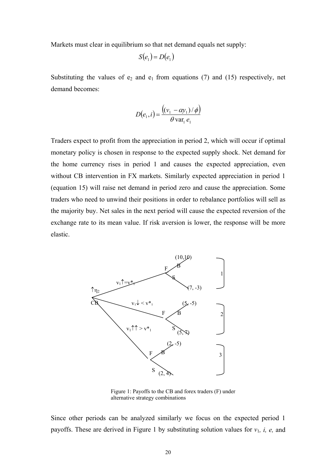Markets must clear in equilibrium so that net demand equals net supply:

$$
S(e_1) = D(e_1)
$$

Substituting the values of  $e_2$  and  $e_1$  from equations (7) and (15) respectively, net demand becomes:

$$
D(e_1, i) = \frac{((v_1 - \alpha y_1)/\phi)}{\theta \operatorname{var}_1 e_1}
$$

Traders expect to profit from the appreciation in period 2, which will occur if optimal monetary policy is chosen in response to the expected supply shock. Net demand for the home currency rises in period 1 and causes the expected appreciation, even without CB intervention in FX markets. Similarly expected appreciation in period 1 (equation 15) will raise net demand in period zero and cause the appreciation. Some traders who need to unwind their positions in order to rebalance portfolios will sell as the majority buy. Net sales in the next period will cause the expected reversion of the exchange rate to its mean value. If risk aversion is lower, the response will be more elastic.



Figure 1: Payoffs to the CB and forex traders (F) under alternative strategy combinations

Since other periods can be analyzed similarly we focus on the expected period 1 payoffs. These are derived in Figure 1 by substituting solution values for  $v_1$ , *i*, *e*, and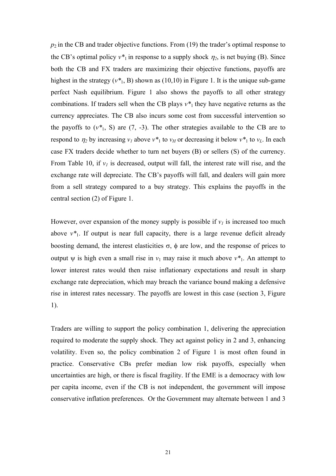$p_2$  in the CB and trader objective functions. From (19) the trader's optimal response to the CB's optimal policy  $v^*$ <sub>1</sub> in response to a supply shock  $\eta_2$ , is net buying (B). Since both the CB and FX traders are maximizing their objective functions, payoffs are highest in the strategy  $(v^*$ <sub>1</sub>, B) shown as (10,10) in Figure 1. It is the unique sub-game perfect Nash equilibrium. Figure 1 also shows the payoffs to all other strategy combinations. If traders sell when the CB plays  $v^*$  they have negative returns as the currency appreciates. The CB also incurs some cost from successful intervention so the payoffs to  $(v^*_{1}, S)$  are  $(7, -3)$ . The other strategies available to the CB are to respond to  $\eta_2$  by increasing  $v_1$  above  $v^*$  to  $v_H$  or decreasing it below  $v^*$  to  $v_L$ . In each case FX traders decide whether to turn net buyers (B) or sellers (S) of the currency. From Table 10, if  $v_l$  is decreased, output will fall, the interest rate will rise, and the exchange rate will depreciate. The CB's payoffs will fall, and dealers will gain more from a sell strategy compared to a buy strategy. This explains the payoffs in the central section (2) of Figure 1.

However, over expansion of the money supply is possible if  $v_l$  is increased too much above  $v^*$ . If output is near full capacity, there is a large revenue deficit already boosting demand, the interest elasticities  $\sigma$ ,  $\phi$  are low, and the response of prices to output w is high even a small rise in  $v_1$  may raise it much above  $v^*$ . An attempt to lower interest rates would then raise inflationary expectations and result in sharp exchange rate depreciation, which may breach the variance bound making a defensive rise in interest rates necessary. The payoffs are lowest in this case (section 3, Figure 1).

Traders are willing to support the policy combination 1, delivering the appreciation required to moderate the supply shock. They act against policy in 2 and 3, enhancing volatility. Even so, the policy combination 2 of Figure 1 is most often found in practice. Conservative CBs prefer median low risk payoffs, especially when uncertainties are high, or there is fiscal fragility. If the EME is a democracy with low per capita income, even if the CB is not independent, the government will impose conservative inflation preferences. Or the Government may alternate between 1 and 3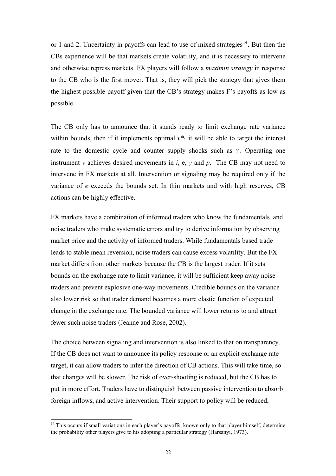or 1 and 2. Uncertainty in payoffs can lead to use of mixed strategies<sup>[14](#page-21-0)</sup>. But then the CBs experience will be that markets create volatility, and it is necessary to intervene and otherwise repress markets. FX players will follow a *maximin strategy* in response to the CB who is the first mover. That is, they will pick the strategy that gives them the highest possible payoff given that the CB's strategy makes F's payoffs as low as possible.

The CB only has to announce that it stands ready to limit exchange rate variance within bounds, then if it implements optimal  $v^*$ <sup>1</sup> it will be able to target the interest rate to the domestic cycle and counter supply shocks such as η. Operating one instrument *v* achieves desired movements in *i*, e, *y* and *p*. The CB may not need to intervene in FX markets at all. Intervention or signaling may be required only if the variance of *e* exceeds the bounds set. In thin markets and with high reserves, CB actions can be highly effective.

FX markets have a combination of informed traders who know the fundamentals, and noise traders who make systematic errors and try to derive information by observing market price and the activity of informed traders. While fundamentals based trade leads to stable mean reversion, noise traders can cause excess volatility. But the FX market differs from other markets because the CB is the largest trader. If it sets bounds on the exchange rate to limit variance, it will be sufficient keep away noise traders and prevent explosive one-way movements. Credible bounds on the variance also lower risk so that trader demand becomes a more elastic function of expected change in the exchange rate. The bounded variance will lower returns to and attract fewer such noise traders (Jeanne and Rose, 2002).

The choice between signaling and intervention is also linked to that on transparency. If the CB does not want to announce its policy response or an explicit exchange rate target, it can allow traders to infer the direction of CB actions. This will take time, so that changes will be slower. The risk of over-shooting is reduced, but the CB has to put in more effort. Traders have to distinguish between passive intervention to absorb foreign inflows, and active intervention. Their support to policy will be reduced,

 $\overline{a}$ 

<span id="page-21-0"></span><sup>&</sup>lt;sup>14</sup> This occurs if small variations in each player's payoffs, known only to that player himself, determine the probability other players give to his adopting a particular strategy (Harsanyi, 1973).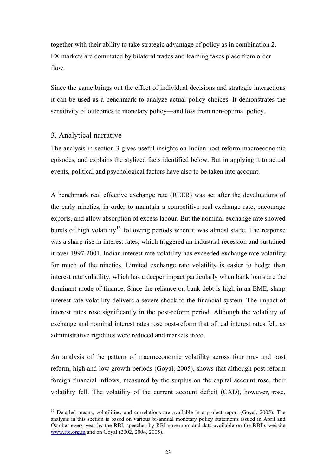together with their ability to take strategic advantage of policy as in combination 2. FX markets are dominated by bilateral trades and learning takes place from order flow.

Since the game brings out the effect of individual decisions and strategic interactions it can be used as a benchmark to analyze actual policy choices. It demonstrates the sensitivity of outcomes to monetary policy—and loss from non-optimal policy.

#### 3. Analytical narrative

 $\overline{\phantom{a}}$ 

The analysis in section 3 gives useful insights on Indian post-reform macroeconomic episodes, and explains the stylized facts identified below. But in applying it to actual events, political and psychological factors have also to be taken into account.

A benchmark real effective exchange rate (REER) was set after the devaluations of the early nineties, in order to maintain a competitive real exchange rate, encourage exports, and allow absorption of excess labour. But the nominal exchange rate showed bursts of high volatility<sup>[15](#page-22-0)</sup> following periods when it was almost static. The response was a sharp rise in interest rates, which triggered an industrial recession and sustained it over 1997-2001. Indian interest rate volatility has exceeded exchange rate volatility for much of the nineties. Limited exchange rate volatility is easier to hedge than interest rate volatility, which has a deeper impact particularly when bank loans are the dominant mode of finance. Since the reliance on bank debt is high in an EME, sharp interest rate volatility delivers a severe shock to the financial system. The impact of interest rates rose significantly in the post-reform period. Although the volatility of exchange and nominal interest rates rose post-reform that of real interest rates fell, as administrative rigidities were reduced and markets freed.

An analysis of the pattern of macroeconomic volatility across four pre- and post reform, high and low growth periods (Goyal, 2005), shows that although post reform foreign financial inflows, measured by the surplus on the capital account rose, their volatility fell. The volatility of the current account deficit (CAD), however, rose,

<span id="page-22-0"></span><sup>&</sup>lt;sup>15</sup> Detailed means, volatilities, and correlations are available in a project report (Goyal, 2005). The analysis in this section is based on various bi-annual monetary policy statements issued in April and October every year by the RBI, speeches by RBI governors and data available on the RBI's website [www.rbi.org.in](http://www.rbi.org.in/) and on Goyal (2002, 2004, 2005).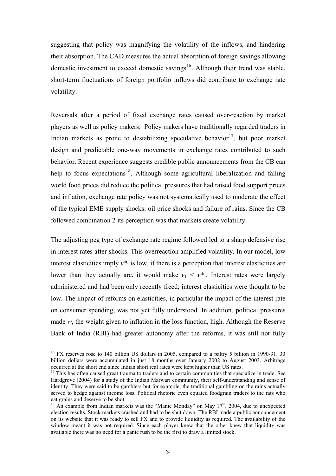suggesting that policy was magnifying the volatility of the inflows, and hindering their absorption. The CAD measures the actual absorption of foreign savings allowing domestic investment to exceed domestic savings<sup>[16](#page-23-0)</sup>. Although their trend was stable, short-term fluctuations of foreign portfolio inflows did contribute to exchange rate volatility.

Reversals after a period of fixed exchange rates caused over-reaction by market players as well as policy makers. Policy makers have traditionally regarded traders in Indian markets as prone to destabilizing speculative behavior<sup>[17](#page-23-1)</sup>, but poor market design and predictable one-way movements in exchange rates contributed to such behavior. Recent experience suggests credible public announcements from the CB can help to focus expectations<sup>[18](#page-23-2)</sup>. Although some agricultural liberalization and falling world food prices did reduce the political pressures that had raised food support prices and inflation, exchange rate policy was not systematically used to moderate the effect of the typical EME supply shocks: oil price shocks and failure of rains. Since the CB followed combination 2 its perception was that markets create volatility.

The adjusting peg type of exchange rate regime followed led to a sharp defensive rise in interest rates after shocks. This overreaction amplified volatility. In our model, low interest elasticities imply  $v^*$  is low, if there is a perception that interest elasticities are lower than they actually are, it would make  $v_1 \leq v^*$ . Interest rates were largely administered and had been only recently freed; interest elasticities were thought to be low. The impact of reforms on elasticities, in particular the impact of the interest rate on consumer spending, was not yet fully understood. In addition, political pressures made *w*, the weight given to inflation in the loss function, high. Although the Reserve Bank of India (RBI) had greater autonomy after the reforms, it was still not fully

 $\overline{\phantom{a}}$ 

<span id="page-23-0"></span><sup>&</sup>lt;sup>16</sup> FX reserves rose to 140 billion US dollars in 2005, compared to a paltry 5 billion in 1990-91. 30 billion dollars were accumulated in just 18 months over January 2002 to August 2003. Arbitrage occurred at the short end since Indian short real rates were kept higher than US rates.

<span id="page-23-1"></span> $17$  This has often caused great trauma to traders and to certain communities that specialize in trade. See Hardgrove (2004) for a study of the Indian Marwari community, their self-understanding and sense of identity. They were said to be gamblers but for example, the traditional gambling on the rains actually served to hedge against income loss. Political rhetoric even equated foodgrain traders to the rats who eat grains and deserve to be shot.

<span id="page-23-2"></span> $18$  An example from Indian markets was the "Manic Monday" on May  $17<sup>th</sup>$ , 2004, due to unexpected election results. Stock markets crashed and had to be shut down. The RBI made a public announcement on its website that it was ready to sell FX and to provide liquidity as required. The availability of the window meant it was not required. Since each player knew that the other knew that liquidity was available there was no need for a panic rush to be the first to draw a limited stock.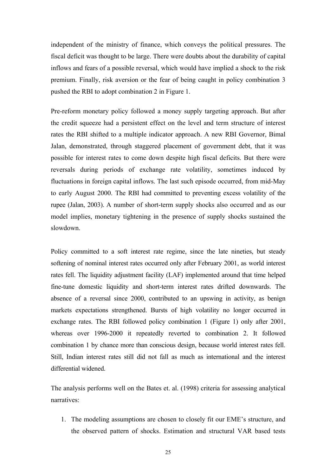independent of the ministry of finance, which conveys the political pressures. The fiscal deficit was thought to be large. There were doubts about the durability of capital inflows and fears of a possible reversal, which would have implied a shock to the risk premium. Finally, risk aversion or the fear of being caught in policy combination 3 pushed the RBI to adopt combination 2 in Figure 1.

Pre-reform monetary policy followed a money supply targeting approach. But after the credit squeeze had a persistent effect on the level and term structure of interest rates the RBI shifted to a multiple indicator approach. A new RBI Governor, Bimal Jalan, demonstrated, through staggered placement of government debt, that it was possible for interest rates to come down despite high fiscal deficits. But there were reversals during periods of exchange rate volatility, sometimes induced by fluctuations in foreign capital inflows. The last such episode occurred, from mid-May to early August 2000. The RBI had committed to preventing excess volatility of the rupee (Jalan, 2003). A number of short-term supply shocks also occurred and as our model implies, monetary tightening in the presence of supply shocks sustained the slowdown.

Policy committed to a soft interest rate regime, since the late nineties, but steady softening of nominal interest rates occurred only after February 2001, as world interest rates fell. The liquidity adjustment facility (LAF) implemented around that time helped fine-tune domestic liquidity and short-term interest rates drifted downwards. The absence of a reversal since 2000, contributed to an upswing in activity, as benign markets expectations strengthened. Bursts of high volatility no longer occurred in exchange rates. The RBI followed policy combination 1 (Figure 1) only after 2001, whereas over 1996-2000 it repeatedly reverted to combination 2. It followed combination 1 by chance more than conscious design, because world interest rates fell. Still, Indian interest rates still did not fall as much as international and the interest differential widened.

The analysis performs well on the Bates et. al. (1998) criteria for assessing analytical narratives:

1. The modeling assumptions are chosen to closely fit our EME's structure, and the observed pattern of shocks. Estimation and structural VAR based tests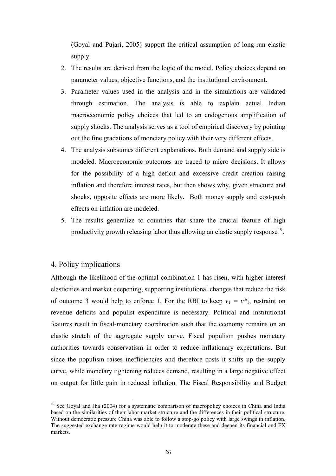(Goyal and Pujari, 2005) support the critical assumption of long-run elastic supply.

- 2. The results are derived from the logic of the model. Policy choices depend on parameter values, objective functions, and the institutional environment.
- 3. Parameter values used in the analysis and in the simulations are validated through estimation. The analysis is able to explain actual Indian macroeconomic policy choices that led to an endogenous amplification of supply shocks. The analysis serves as a tool of empirical discovery by pointing out the fine gradations of monetary policy with their very different effects.
- 4. The analysis subsumes different explanations. Both demand and supply side is modeled. Macroeconomic outcomes are traced to micro decisions. It allows for the possibility of a high deficit and excessive credit creation raising inflation and therefore interest rates, but then shows why, given structure and shocks, opposite effects are more likely. Both money supply and cost-push effects on inflation are modeled.
- 5. The results generalize to countries that share the crucial feature of high productivity growth releasing labor thus allowing an elastic supply response<sup>[19](#page-25-0)</sup>.

# 4. Policy implications

 $\overline{a}$ 

Although the likelihood of the optimal combination 1 has risen, with higher interest elasticities and market deepening, supporting institutional changes that reduce the risk of outcome 3 would help to enforce 1. For the RBI to keep  $v_1 = v^*$ , restraint on revenue deficits and populist expenditure is necessary. Political and institutional features result in fiscal-monetary coordination such that the economy remains on an elastic stretch of the aggregate supply curve. Fiscal populism pushes monetary authorities towards conservatism in order to reduce inflationary expectations. But since the populism raises inefficiencies and therefore costs it shifts up the supply curve, while monetary tightening reduces demand, resulting in a large negative effect on output for little gain in reduced inflation. The Fiscal Responsibility and Budget

<span id="page-25-0"></span><sup>&</sup>lt;sup>19</sup> See Goyal and Jha (2004) for a systematic comparison of macropolicy choices in China and India based on the similarities of their labor market structure and the differences in their political structure. Without democratic pressure China was able to follow a stop-go policy with large swings in inflation. The suggested exchange rate regime would help it to moderate these and deepen its financial and FX markets.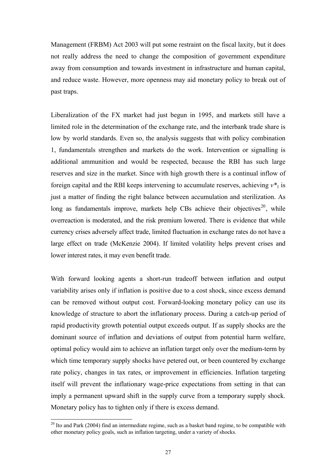Management (FRBM) Act 2003 will put some restraint on the fiscal laxity, but it does not really address the need to change the composition of government expenditure away from consumption and towards investment in infrastructure and human capital, and reduce waste. However, more openness may aid monetary policy to break out of past traps.

Liberalization of the FX market had just begun in 1995, and markets still have a limited role in the determination of the exchange rate, and the interbank trade share is low by world standards. Even so, the analysis suggests that with policy combination 1, fundamentals strengthen and markets do the work. Intervention or signalling is additional ammunition and would be respected, because the RBI has such large reserves and size in the market. Since with high growth there is a continual inflow of foreign capital and the RBI keeps intervening to accumulate reserves, achieving  $v^*$  is just a matter of finding the right balance between accumulation and sterilization. As long as fundamentals improve, markets help CBs achieve their objectives<sup>[20](#page-26-0)</sup>, while overreaction is moderated, and the risk premium lowered. There is evidence that while currency crises adversely affect trade, limited fluctuation in exchange rates do not have a large effect on trade (McKenzie 2004). If limited volatility helps prevent crises and lower interest rates, it may even benefit trade.

With forward looking agents a short-run tradeoff between inflation and output variability arises only if inflation is positive due to a cost shock, since excess demand can be removed without output cost. Forward-looking monetary policy can use its knowledge of structure to abort the inflationary process. During a catch-up period of rapid productivity growth potential output exceeds output. If as supply shocks are the dominant source of inflation and deviations of output from potential harm welfare, optimal policy would aim to achieve an inflation target only over the medium-term by which time temporary supply shocks have petered out, or been countered by exchange rate policy, changes in tax rates, or improvement in efficiencies. Inflation targeting itself will prevent the inflationary wage-price expectations from setting in that can imply a permanent upward shift in the supply curve from a temporary supply shock. Monetary policy has to tighten only if there is excess demand.

 $\overline{a}$ 

<span id="page-26-0"></span> $20$  Ito and Park (2004) find an intermediate regime, such as a basket band regime, to be compatible with other monetary policy goals, such as inflation targeting, under a variety of shocks.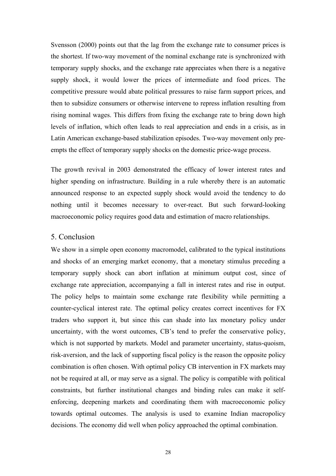Svensson (2000) points out that the lag from the exchange rate to consumer prices is the shortest. If two-way movement of the nominal exchange rate is synchronized with temporary supply shocks, and the exchange rate appreciates when there is a negative supply shock, it would lower the prices of intermediate and food prices. The competitive pressure would abate political pressures to raise farm support prices, and then to subsidize consumers or otherwise intervene to repress inflation resulting from rising nominal wages. This differs from fixing the exchange rate to bring down high levels of inflation, which often leads to real appreciation and ends in a crisis, as in Latin American exchange-based stabilization episodes. Two-way movement only preempts the effect of temporary supply shocks on the domestic price-wage process.

The growth revival in 2003 demonstrated the efficacy of lower interest rates and higher spending on infrastructure. Building in a rule whereby there is an automatic announced response to an expected supply shock would avoid the tendency to do nothing until it becomes necessary to over-react. But such forward-looking macroeconomic policy requires good data and estimation of macro relationships.

#### 5. Conclusion

We show in a simple open economy macromodel, calibrated to the typical institutions and shocks of an emerging market economy, that a monetary stimulus preceding a temporary supply shock can abort inflation at minimum output cost, since of exchange rate appreciation, accompanying a fall in interest rates and rise in output. The policy helps to maintain some exchange rate flexibility while permitting a counter-cyclical interest rate. The optimal policy creates correct incentives for FX traders who support it, but since this can shade into lax monetary policy under uncertainty, with the worst outcomes, CB's tend to prefer the conservative policy, which is not supported by markets. Model and parameter uncertainty, status-quoism, risk-aversion, and the lack of supporting fiscal policy is the reason the opposite policy combination is often chosen. With optimal policy CB intervention in FX markets may not be required at all, or may serve as a signal. The policy is compatible with political constraints, but further institutional changes and binding rules can make it selfenforcing, deepening markets and coordinating them with macroeconomic policy towards optimal outcomes. The analysis is used to examine Indian macropolicy decisions. The economy did well when policy approached the optimal combination.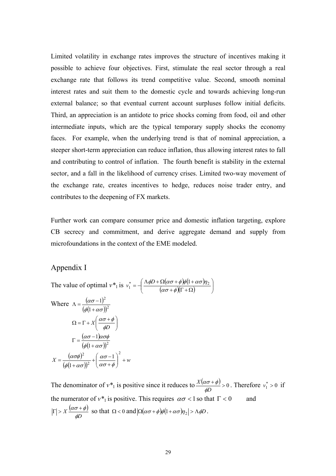Limited volatility in exchange rates improves the structure of incentives making it possible to achieve four objectives. First, stimulate the real sector through a real exchange rate that follows its trend competitive value. Second, smooth nominal interest rates and suit them to the domestic cycle and towards achieving long-run external balance; so that eventual current account surpluses follow initial deficits. Third, an appreciation is an antidote to price shocks coming from food, oil and other intermediate inputs, which are the typical temporary supply shocks the economy faces. For example, when the underlying trend is that of nominal appreciation, a steeper short-term appreciation can reduce inflation, thus allowing interest rates to fall and contributing to control of inflation. The fourth benefit is stability in the external sector, and a fall in the likelihood of currency crises. Limited two-way movement of the exchange rate, creates incentives to hedge, reduces noise trader entry, and contributes to the deepening of FX markets.

Further work can compare consumer price and domestic inflation targeting, explore CB secrecy and commitment, and derive aggregate demand and supply from microfoundations in the context of the EME modeled.

# Appendix I

The value of optimal  $v^*$  is  $v_1^* = -\left(\frac{\Lambda \phi D + \Omega(\alpha \sigma + \phi) \phi(1 + \alpha \sigma) \eta_2}{(\alpha \sigma + \phi)(\Gamma + \Omega)}\right)$ ⎠ ⎞  $\parallel$ ⎝  $\big($  $\Gamma_1^* = -\left(\frac{\Lambda\phi D+\Omega(\alpha\sigma+\phi)\phi(1+\alpha\sigma)\eta_2}{(\alpha\sigma+\phi)(\Gamma+\Omega)}\right)$  $v_1^* = -\left(\frac{\Lambda \phi D + \Omega(\alpha \sigma + \phi)\phi(1)}{\sigma^2}\right)$ Where  $\Lambda = \frac{(\alpha \sigma - 1)}{(\alpha \sigma - 1)}$  $(\phi (1 + \alpha \sigma))^2$ 2  $\left(1\right)$ 1  $\phi(1+\alpha\sigma)$ ασ +  $\Lambda = \frac{(\alpha \sigma - \alpha)}{(\alpha \sigma - \alpha)}$  $\overline{\phantom{a}}$ ⎠ ⎞  $\parallel$ ⎝  $\Omega = \Gamma + X \left( \frac{\alpha \sigma +}{\sigma} \right)$  $X\left(\frac{d\omega}{dD}\right)$ φ  $\alpha\sigma + \phi$  $(\alpha \sigma - 1)$  $(\phi(1 + \alpha \sigma))^2$ 1  $\phi(1+\alpha\sigma)$ ασ-1)ασ $\phi$ +  $\Gamma = \frac{(\alpha \sigma (\alpha \sigma \phi)$  $X = \frac{(\omega \sigma \psi)}{(\phi(1 + \alpha \sigma))^2} + \left(\frac{\omega \sigma - 1}{\alpha \sigma + \phi}\right) + w$ ⎠ ⎞  $\overline{\phantom{a}}$ ⎝  $\big($  $=\frac{(\alpha\sigma\phi)^2}{(\phi(1+\alpha\sigma))^2}+\left(\frac{\alpha\sigma-\alpha}{\alpha\sigma+\alpha}\right)$ 2 2 <sup>2</sup>  $\left(\alpha\sigma-1\right)$  $(1+\alpha\sigma))^2$   $(\alpha\sigma+\phi)$ ασ  $\phi(1+\alpha\sigma)$ ασφ

The denominator of  $v^*$ <sup>1</sup> is positive since it reduces to  $\frac{X(\alpha \sigma + \phi)}{\phi D} > 0$ *X*  $\frac{\alpha \sigma + \phi}{\phi D} > 0$ . Therefore  $v_1^* > 0$  if the numerator of  $v^*$ <sup>1</sup> is positive. This requires  $\alpha \sigma < 1$  so that  $\Gamma < 0$  and  $(\alpha \sigma + \phi)$  $X \frac{u \omega}{\phi D}$  $|\Gamma| > X \frac{(\alpha \sigma + \phi)}{\phi D}$  so that  $\Omega < 0$  and  $|\Omega(\alpha \sigma + \phi)\phi(1 + \alpha \sigma)\eta_2| > \Lambda \phi D$ .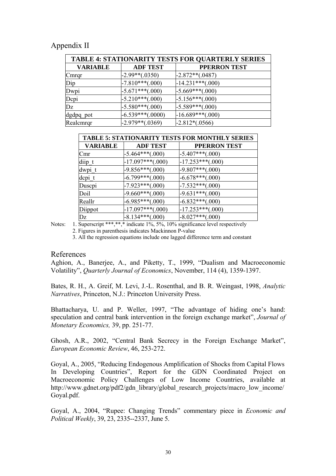# Appendix II

| <b>TABLE 4: STATIONARITY TESTS FOR QUARTERLY SERIES</b> |                    |                     |  |  |
|---------------------------------------------------------|--------------------|---------------------|--|--|
| <b>VARIABLE</b>                                         | <b>ADF TEST</b>    | <b>PPERRON TEST</b> |  |  |
| Cmrqr                                                   | $-2.99**(.0350)$   | $-2.872**(.0487)$   |  |  |
| Dip                                                     | $-7.810***(.000)$  | $-14.231***(.000)$  |  |  |
| Dwpi                                                    | $-5.671***(.000)$  | $-5.669***(.000)$   |  |  |
| Depi                                                    | $-5.210***(.000)$  | $-5.156***(.000)$   |  |  |
| Dz                                                      | $-5.580***(0.000)$ | $-5.589***(.000)$   |  |  |
| dgdpq pot                                               | $-6.539***(.0000)$ | $-16.689***(000)$   |  |  |
| Realcmrqr                                               | $-2.979**(.0369)$  | $-2.812*(.0566)$    |  |  |

| <b>TABLE 5: STATIONARITY TESTS FOR MONTHLY SERIES</b> |                    |                     |  |
|-------------------------------------------------------|--------------------|---------------------|--|
| <b>VARIABLE</b>                                       | <b>ADF TEST</b>    | <b>PPERRON TEST</b> |  |
| Cmr                                                   | $-5.464***(.000)$  | $-5.407***(.000)$   |  |
| diip t                                                | $-17.097***(.000)$ | $-17.253***(.000)$  |  |
| $dwp_1$ _t                                            | $-9.856***(000)$   | $-9.807***(.000)$   |  |
| depi t                                                | $-6.799***(.000)$  | $-6.678***(.000)$   |  |
| Duscpi                                                | $-7.923***(.000)$  | $-7.532***(.000)$   |  |
| Doil                                                  | $-9.660***(0.000)$ | $-9.631***(.000)$   |  |
| Reallr                                                | $-6.985***(0.000)$ | $-6.832***(0.000)$  |  |
| Diippot                                               | $-17.097***(.000)$ | $-17.253***(.000)$  |  |
| Dz                                                    | $-8.134***(000)$   | $-8.027***(0.00)$   |  |

Notes: 1. Superscript \*\*\*,\*\*,\* indicate 1%, 5%, 10% significance level respectively

2. Figures in parenthesis indicates Mackinnon P-value

3. All the regression equations include one lagged difference term and constant

#### References

Aghion, A., Banerjee, A., and Piketty, T., 1999, "Dualism and Macroeconomic Volatility", *Quarterly Journal of Economics*, November, 114 (4), 1359-1397.

Bates, R. H., A. Greif, M. Levi, J.-L. Rosenthal, and B. R. Weingast, 1998, *Analytic Narratives*, Princeton, N.J.: Princeton University Press.

Bhattacharya, U. and P. Weller, 1997, "The advantage of hiding one's hand: speculation and central bank intervention in the foreign exchange market", *Journal of Monetary Economics,* 39, pp. 251-77.

Ghosh, A.R., 2002, "Central Bank Secrecy in the Foreign Exchange Market", *European Economic Review*, 46, 253-272.

Goyal, A., 2005, "Reducing Endogenous Amplification of Shocks from Capital Flows In Developing Countries", Report for the GDN Coordinated Project on Macroeconomic Policy Challenges of Low Income Countries, available at http://www.gdnet.org/pdf2/gdn\_library/global\_research\_projects/macro\_low\_income/ Goyal.pdf.

Goyal, A., 2004, "Rupee: Changing Trends" commentary piece in *Economic and Political Weekly*, 39, 23, 2335--2337, June 5.